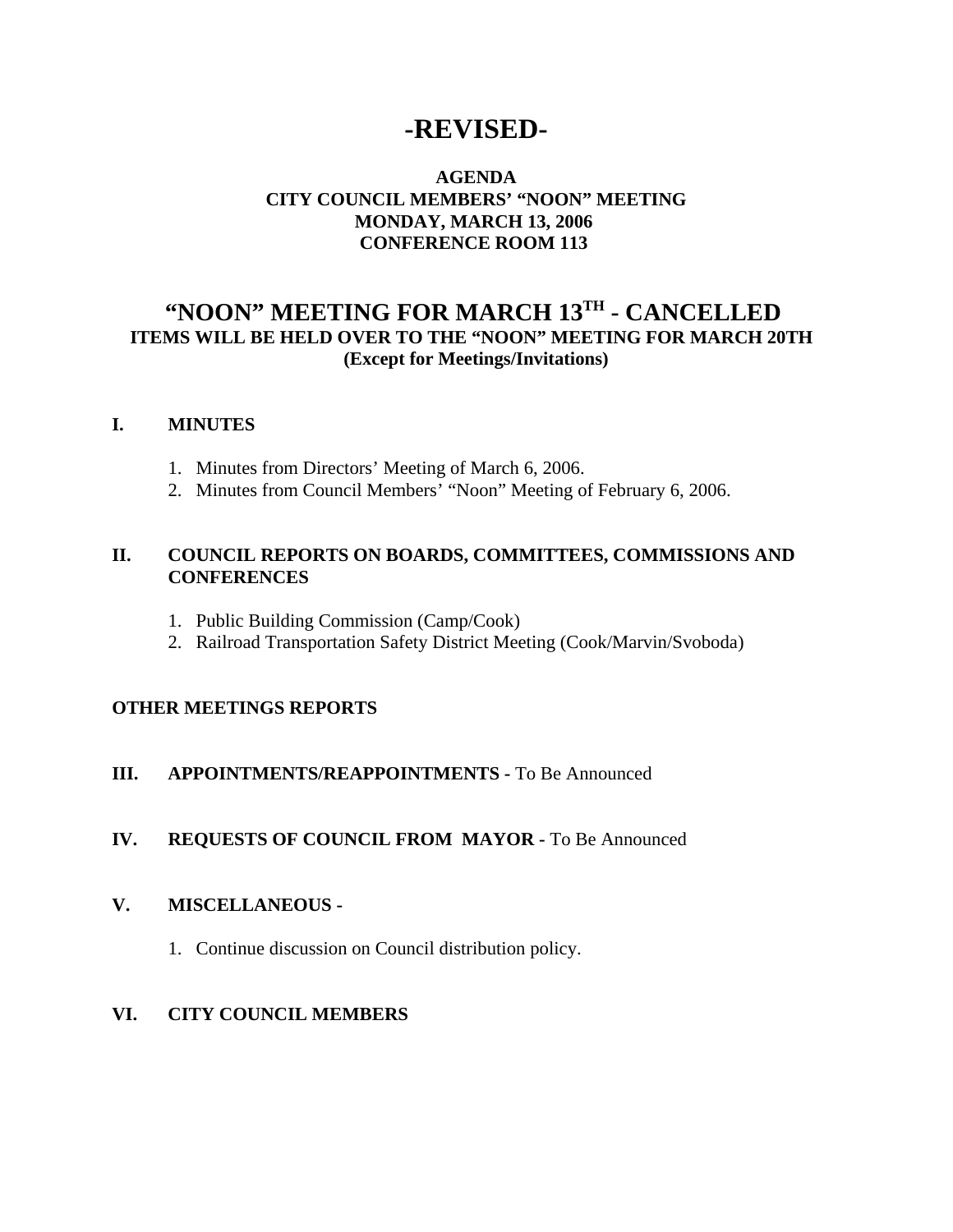# **-REVISED-**

# **AGENDA CITY COUNCIL MEMBERS' "NOON" MEETING MONDAY, MARCH 13, 2006 CONFERENCE ROOM 113**

# **"NOON" MEETING FOR MARCH 13TH - CANCELLED ITEMS WILL BE HELD OVER TO THE "NOON" MEETING FOR MARCH 20TH (Except for Meetings/Invitations)**

#### **I. MINUTES**

- 1. Minutes from Directors' Meeting of March 6, 2006.
- 2. Minutes from Council Members' "Noon" Meeting of February 6, 2006.

## **II. COUNCIL REPORTS ON BOARDS, COMMITTEES, COMMISSIONS AND CONFERENCES**

- 1. Public Building Commission (Camp/Cook)
- 2. Railroad Transportation Safety District Meeting (Cook/Marvin/Svoboda)

## **OTHER MEETINGS REPORTS**

## **III.** APPOINTMENTS/REAPPOINTMENTS - To Be Announced

## **IV. REQUESTS OF COUNCIL FROM MAYOR -** To Be Announced

#### **V. MISCELLANEOUS -**

1. Continue discussion on Council distribution policy.

## **VI. CITY COUNCIL MEMBERS**